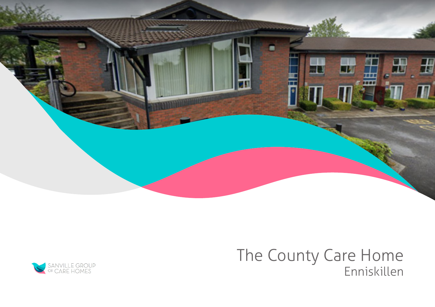

# The County Care Home Enniskillen

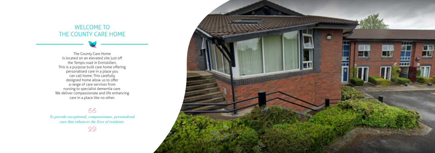## WELCOME TO THE COUNTY CARE HOME

The County Care Home Is located on an elevated site just off the Tempo road in Enniskillen, This is a purpose built care home offering personalised care in a place you can call home. This carefully designed home allow us to offer a range of care services from nursing to specialist dementia care. We deliver compassionate and life enhancing care in a place like no other.

### $66$

*To provide exceptional, compassionate, personalised care that enhances the lives of residents.*

99

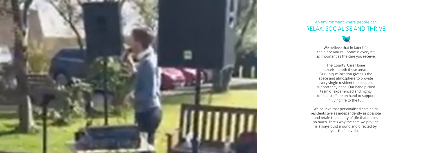

#### An environment where people can RELAX, SOCIALISE AND THRIVE

We believe that in later life, the place you call home is every bit as important as the care you receive.

The County Care Home excels in both these areas. Our unique location gives us the space and atmosphere to provide every single resident the bespoke support they need. Our hand picked team of experienced and highly trained staff are on hand to support in living life to the full.

We believe that personalised care helps residents live as independently as possible and retain the quality of life that means so much. That's why the care we provide is always built around and directed by you, the individual.

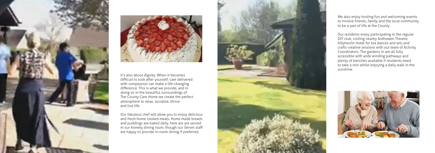



It's also about dignity. When it becomes difficult to look after yourself, care delivered with compassion can make a life-changing difference. This is what we provide, and in doing so in the beautiful surroundings of The County Care Home we create the perfect atmosphere to relax, socialise, thrive and live life.

Our fabulous chef will allow you to enjoy delicious and fresh home cooked meals. Home made breads and puddings are baked daily, here are are served in our homely dining room, though our Server staff are happy to provide in-room dining if preferred.



We also enjoy hosting fun and welcoming events to involve friends, family and the local community to be a part of life at the County.

Our residents enjoy participating in the regular DIY club, visiting nearby Ardhowen Theatre, Killyhevlin Hotel for tea dances and arts and crafts creative sessions with our team of Activity Coordinators. The gardens in are all fully accessible with wide winding pathways and plenty of benches available if residents need to take a rest whilst enjoying a daily walk in the sunshine.

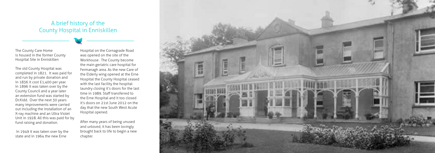The County Care Home is housed in the former County Hospital Site in Enniskillen

The old County Hospital was completed in 1821. It was paid for and run by private donation and in 1836 it cost £1,400 per year. In 1896 it was taken over by the County Council and a year later an extension fund was started by Dr.Kidd. Over the next 30 years many improvements were carried out including the installation of an X-ray machine and an Ultra Violet Unit in 1928. All this was paid for by fund raising and donation.

 In 1949 it was taken over by the state and in 1964 the new Erne

Hospital on the Cornagrade Road was opened on the site of the Workhouse . The County become the main geriatric care hospital for Fermanagh area. As the new Care of the Elderly wing opened at the Erne Hospital the County Hospital ceased with the last facility the hospital laundry closing it's doors for the last time in 1989. Staff transferred to the Erne Hospital and it too closed it's doors on 21st June 2012 on the day that the new South West Acute Hospital opened.

After many years of being unused and unloved, it has been lovingly brought back to life to begin a new chapter.



## A brief history of the County Hospital in Enniskillen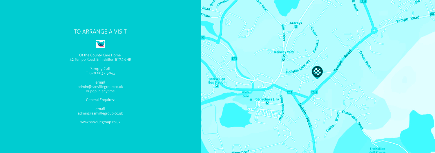## TO ARRANGE A VISIT

R

Of the County Care Home, 42 Tempo Road, Enniskillen BT74 6HR

> Simply Call T. 028 6632 3845

email admin@sanvillegroup.co.uk or pop in anytime

General Enquires:

email admin@sanvillegroup.co.uk

www.sanvillegroup.co.uk